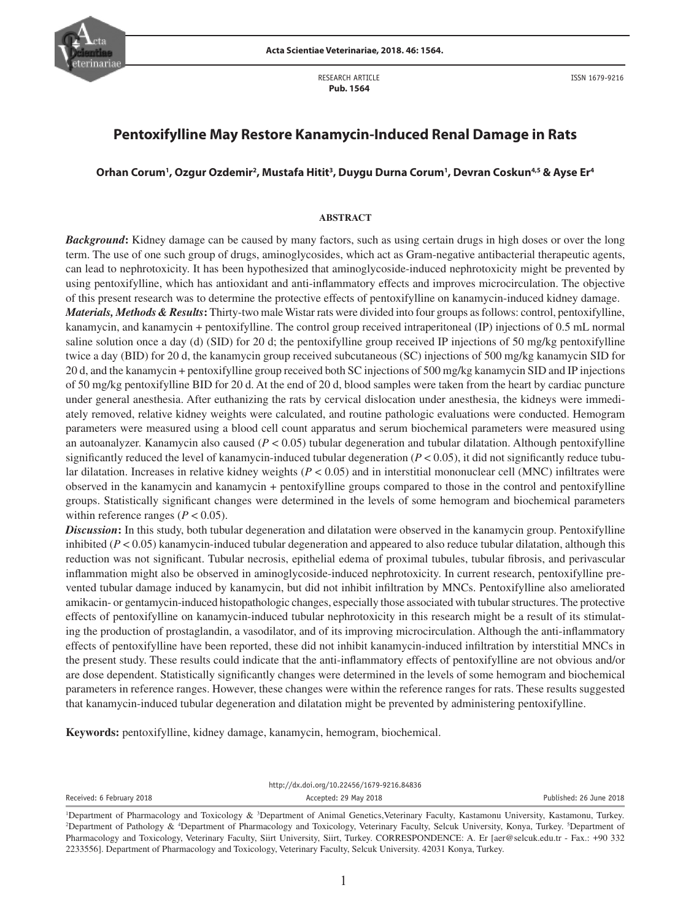

RESEARCH ARTICLE  **Pub. 1564**

# **Pentoxifylline May Restore Kanamycin-Induced Renal Damage in Rats**

# Orhan Corum<sup>1</sup>, Ozgur Ozdemir<sup>2</sup>, Mustafa Hitit<sup>3</sup>, Duygu Durna Corum<sup>1</sup>, Devran Coskun<sup>4,5</sup> & Ayse Er<sup>4</sup>

#### **ABSTRACT**

*Background***:** Kidney damage can be caused by many factors, such as using certain drugs in high doses or over the long term. The use of one such group of drugs, aminoglycosides, which act as Gram-negative antibacterial therapeutic agents, can lead to nephrotoxicity. It has been hypothesized that aminoglycoside-induced nephrotoxicity might be prevented by using pentoxifylline, which has antioxidant and anti-inflammatory effects and improves microcirculation. The objective of this present research was to determine the protective effects of pentoxifylline on kanamycin-induced kidney damage.

*Materials, Methods & Results***:** Thirty-two male Wistar rats were divided into four groups as follows: control, pentoxifylline, kanamycin, and kanamycin + pentoxifylline. The control group received intraperitoneal (IP) injections of 0.5 mL normal saline solution once a day (d) (SID) for 20 d; the pentoxifylline group received IP injections of 50 mg/kg pentoxifylline twice a day (BID) for 20 d, the kanamycin group received subcutaneous (SC) injections of 500 mg/kg kanamycin SID for 20 d, and the kanamycin + pentoxifylline group received both SC injections of 500 mg/kg kanamycin SID and IP injections of 50 mg/kg pentoxifylline BID for 20 d. At the end of 20 d, blood samples were taken from the heart by cardiac puncture under general anesthesia. After euthanizing the rats by cervical dislocation under anesthesia, the kidneys were immediately removed, relative kidney weights were calculated, and routine pathologic evaluations were conducted. Hemogram parameters were measured using a blood cell count apparatus and serum biochemical parameters were measured using an autoanalyzer. Kanamycin also caused (*P* < 0.05) tubular degeneration and tubular dilatation. Although pentoxifylline significantly reduced the level of kanamycin-induced tubular degeneration  $(P < 0.05)$ , it did not significantly reduce tubular dilatation. Increases in relative kidney weights (*P* < 0.05) and in interstitial mononuclear cell (MNC) infiltrates were observed in the kanamycin and kanamycin + pentoxifylline groups compared to those in the control and pentoxifylline groups. Statistically significant changes were determined in the levels of some hemogram and biochemical parameters within reference ranges  $(P < 0.05)$ .

*Discussion*: In this study, both tubular degeneration and dilatation were observed in the kanamycin group. Pentoxifylline inhibited  $(P < 0.05)$  kanamycin-induced tubular degeneration and appeared to also reduce tubular dilatation, although this reduction was not significant. Tubular necrosis, epithelial edema of proximal tubules, tubular fibrosis, and perivascular inflammation might also be observed in aminoglycoside-induced nephrotoxicity. In current research, pentoxifylline prevented tubular damage induced by kanamycin, but did not inhibit infiltration by MNCs. Pentoxifylline also ameliorated amikacin- or gentamycin-induced histopathologic changes, especially those associated with tubular structures. The protective effects of pentoxifylline on kanamycin-induced tubular nephrotoxicity in this research might be a result of its stimulating the production of prostaglandin, a vasodilator, and of its improving microcirculation. Although the anti-inflammatory effects of pentoxifylline have been reported, these did not inhibit kanamycin-induced infiltration by interstitial MNCs in the present study. These results could indicate that the anti-inflammatory effects of pentoxifylline are not obvious and/or are dose dependent. Statistically significantly changes were determined in the levels of some hemogram and biochemical parameters in reference ranges. However, these changes were within the reference ranges for rats. These results suggested that kanamycin-induced tubular degeneration and dilatation might be prevented by administering pentoxifylline.

**Keywords:** pentoxifylline, kidney damage, kanamycin, hemogram, biochemical.

http://dx.doi.org/10.22456/1679-9216.84836

Received: 6 February 2018 **Accepted: 29 May 2018** Accepted: 29 May 2018 **Accepted: 26 June 2018** Published: 26 June 2018

Department of Pharmacology and Toxicology & <sup>3</sup>Department of Animal Genetics,Veterinary Faculty, Kastamonu University, Kastamonu, Turkey.<br><sup>2</sup>Department of Pathology & <sup>4</sup>Department of Pharmacology and Toxicology Veterinary Department of Pathology & <sup>4</sup>Department of Pharmacology and Toxicology, Veterinary Faculty, Selcuk University, Konya, Turkey. <sup>5</sup>Department of Pharmacology and Toxicology, Veterinary Faculty, Siirt University, Siirt, Turkey. CORRESPONDENCE: A. Er [aer@selcuk.edu.tr - Fax.: +90 332 2233556]. Department of Pharmacology and Toxicology, Veterinary Faculty, Selcuk University. 42031 Konya, Turkey.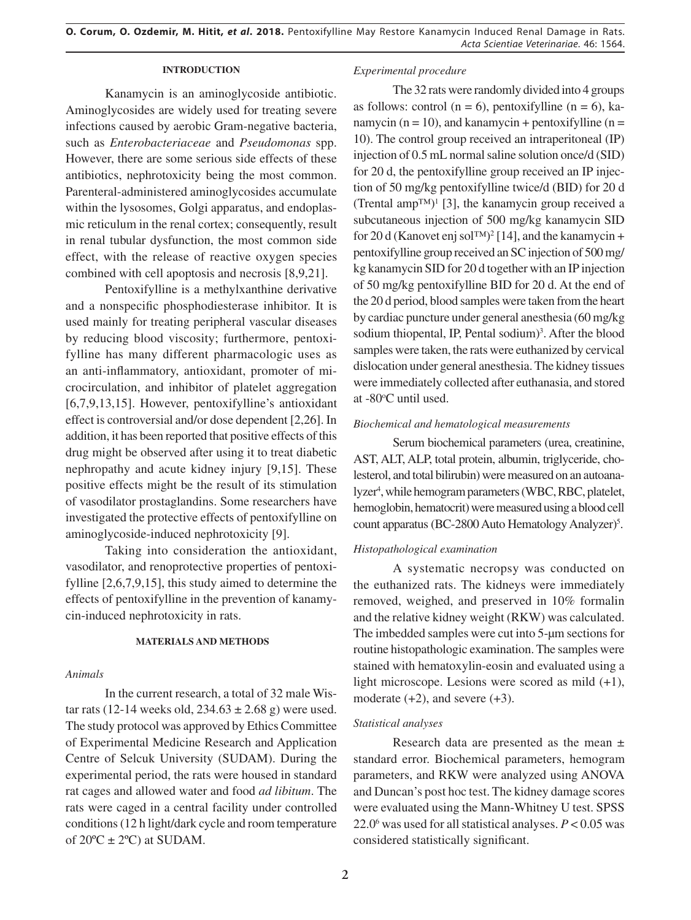# **INTRODUCTION**

Kanamycin is an aminoglycoside antibiotic. Aminoglycosides are widely used for treating severe infections caused by aerobic Gram-negative bacteria, such as *Enterobacteriaceae* and *Pseudomonas* spp. However, there are some serious side effects of these antibiotics, nephrotoxicity being the most common. Parenteral-administered aminoglycosides accumulate within the lysosomes, Golgi apparatus, and endoplasmic reticulum in the renal cortex; consequently, result in renal tubular dysfunction, the most common side effect, with the release of reactive oxygen species combined with cell apoptosis and necrosis [8,9,21].

Pentoxifylline is a methylxanthine derivative and a nonspecific phosphodiesterase inhibitor. It is used mainly for treating peripheral vascular diseases by reducing blood viscosity; furthermore, pentoxifylline has many different pharmacologic uses as an anti-inflammatory, antioxidant, promoter of microcirculation, and inhibitor of platelet aggregation [6,7,9,13,15]. However, pentoxifylline's antioxidant effect is controversial and/or dose dependent [2,26]. In addition, it has been reported that positive effects of this drug might be observed after using it to treat diabetic nephropathy and acute kidney injury [9,15]. These positive effects might be the result of its stimulation of vasodilator prostaglandins. Some researchers have investigated the protective effects of pentoxifylline on aminoglycoside-induced nephrotoxicity [9].

Taking into consideration the antioxidant, vasodilator, and renoprotective properties of pentoxifylline [2,6,7,9,15], this study aimed to determine the effects of pentoxifylline in the prevention of kanamycin-induced nephrotoxicity in rats.

#### **MATERIALS AND METHODS**

# *Animals*

In the current research, a total of 32 male Wistar rats (12-14 weeks old,  $234.63 \pm 2.68$  g) were used. The study protocol was approved by Ethics Committee of Experimental Medicine Research and Application Centre of Selcuk University (SUDAM). During the experimental period, the rats were housed in standard rat cages and allowed water and food *ad libitum*. The rats were caged in a central facility under controlled conditions (12 h light/dark cycle and room temperature of  $20^{\circ}C \pm 2^{\circ}C$  at SUDAM.

### *Experimental procedure*

The 32 rats were randomly divided into 4 groups as follows: control ( $n = 6$ ), pentoxifylline ( $n = 6$ ), kanamycin ( $n = 10$ ), and kanamycin + pentoxifylline ( $n =$ 10). The control group received an intraperitoneal (IP) injection of 0.5 mL normal saline solution once/d (SID) for 20 d, the pentoxifylline group received an IP injection of 50 mg/kg pentoxifylline twice/d (BID) for 20 d (Trental amp<sup>TM)1</sup> [3], the kanamycin group received a subcutaneous injection of 500 mg/kg kanamycin SID for 20 d (Kanovet enj sol™)<sup>2</sup> [14], and the kanamycin + pentoxifylline group received an SC injection of 500 mg/ kg kanamycin SID for 20 d together with an IP injection of 50 mg/kg pentoxifylline BID for 20 d. At the end of the 20 d period, blood samples were taken from the heart by cardiac puncture under general anesthesia (60 mg/kg sodium thiopental, IP, Pental sodium)<sup>3</sup>. After the blood samples were taken, the rats were euthanized by cervical dislocation under general anesthesia. The kidney tissues were immediately collected after euthanasia, and stored at -80°C until used.

# *Biochemical and hematological measurements*

Serum biochemical parameters (urea, creatinine, AST, ALT, ALP, total protein, albumin, triglyceride, cholesterol, and total bilirubin) were measured on an autoanalyzer<sup>4</sup>, while hemogram parameters (WBC, RBC, platelet, hemoglobin, hematocrit) were measured using a blood cell count apparatus (BC-2800 Auto Hematology Analyzer)<sup>5</sup>.

## *Histopathological examination*

A systematic necropsy was conducted on the euthanized rats. The kidneys were immediately removed, weighed, and preserved in 10% formalin and the relative kidney weight (RKW) was calculated. The imbedded samples were cut into 5-μm sections for routine histopathologic examination. The samples were stained with hematoxylin-eosin and evaluated using a light microscope. Lesions were scored as mild (+1), moderate  $(+2)$ , and severe  $(+3)$ .

#### *Statistical analyses*

Research data are presented as the mean ± standard error. Biochemical parameters, hemogram parameters, and RKW were analyzed using ANOVA and Duncan's post hoc test. The kidney damage scores were evaluated using the Mann-Whitney U test. SPSS 22.06 was used for all statistical analyses. *P* < 0.05 was considered statistically significant.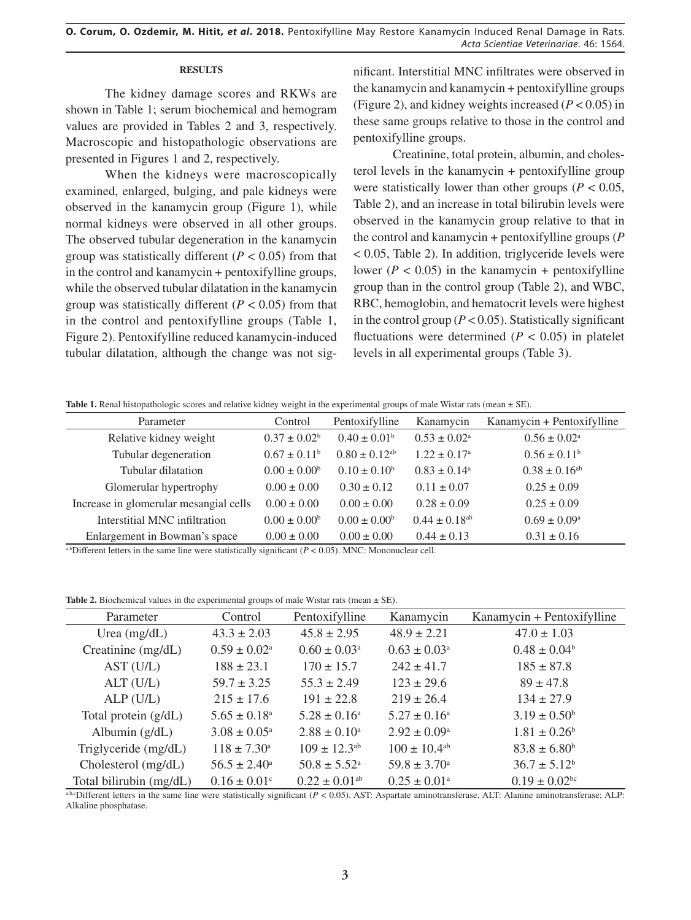# **RESULTS**

The kidney damage scores and RKWs are shown in Table 1; serum biochemical and hemogram values are provided in Tables 2 and 3, respectively. Macroscopic and histopathologic observations are presented in Figures 1 and 2, respectively.

When the kidneys were macroscopically examined, enlarged, bulging, and pale kidneys were observed in the kanamycin group (Figure 1), while normal kidneys were observed in all other groups. The observed tubular degeneration in the kanamycin group was statistically different  $(P < 0.05)$  from that in the control and kanamycin + pentoxifylline groups, while the observed tubular dilatation in the kanamycin group was statistically different  $(P < 0.05)$  from that in the control and pentoxifylline groups (Table 1, Figure 2). Pentoxifylline reduced kanamycin-induced tubular dilatation, although the change was not significant. Interstitial MNC infiltrates were observed in the kanamycin and kanamycin + pentoxifylline groups (Figure 2), and kidney weights increased (*P* < 0.05) in these same groups relative to those in the control and pentoxifylline groups.

Creatinine, total protein, albumin, and cholesterol levels in the kanamycin + pentoxifylline group were statistically lower than other groups ( $P < 0.05$ , Table 2), and an increase in total bilirubin levels were observed in the kanamycin group relative to that in the control and kanamycin + pentoxifylline groups (*P*  < 0.05, Table 2). In addition, triglyceride levels were lower ( $P < 0.05$ ) in the kanamycin + pentoxifylline group than in the control group (Table 2), and WBC, RBC, hemoglobin, and hematocrit levels were highest in the control group ( $P < 0.05$ ). Statistically significant fluctuations were determined  $(P < 0.05)$  in platelet levels in all experimental groups (Table 3).

Table 1. Renal histopathologic scores and relative kidney weight in the experimental groups of male Wistar rats (mean  $\pm$  SE).

| Parameter                              | Control                 | Pentoxifylline                | Kanamycin                     | Kanamycin + Pentoxifylline |
|----------------------------------------|-------------------------|-------------------------------|-------------------------------|----------------------------|
| Relative kidney weight                 | $0.37 \pm 0.02^b$       | $0.40 \pm 0.01^{\rm b}$       | $0.53 \pm 0.02^{\circ}$       | $0.56 \pm 0.02^{\text{a}}$ |
| Tubular degeneration                   | $0.67 \pm 0.11^{\rm b}$ | $0.80 \pm 0.12$ <sup>ab</sup> | $1.22 \pm 0.17^{\circ}$       | $0.56 \pm 0.11^b$          |
| Tubular dilatation                     | $0.00 \pm 0.00^b$       | $0.10 \pm 0.10^b$             | $0.83 \pm 0.14^{\circ}$       | $0.38 \pm 0.16^{ab}$       |
| Glomerular hypertrophy                 | $0.00 \pm 0.00$         | $0.30 \pm 0.12$               | $0.11 \pm 0.07$               | $0.25 \pm 0.09$            |
| Increase in glomerular mesangial cells | $0.00 \pm 0.00$         | $0.00 \pm 0.00$               | $0.28 \pm 0.09$               | $0.25 \pm 0.09$            |
| Interstitial MNC infiltration          | $0.00 \pm 0.00^b$       | $0.00 \pm 0.00^{\circ}$       | $0.44 \pm 0.18$ <sup>ab</sup> | $0.69 \pm 0.09^{\circ}$    |
| Enlargement in Bowman's space          | $0.00 \pm 0.00$         | $0.00 \pm 0.00$               | $0.44 \pm 0.13$               | $0.31 \pm 0.16$            |

a,bDifferent letters in the same line were statistically significant  $(P < 0.05)$ . MNC: Mononuclear cell.

**Table 2.** Biochemical values in the experimental groups of male Wistar rats (mean  $\pm$  SE).

| Parameter               | Control                      | Pentoxifylline                | Kanamycin                  | Kanamycin + Pentoxifylline    |
|-------------------------|------------------------------|-------------------------------|----------------------------|-------------------------------|
| Urea $(mg/dL)$          | $43.3 \pm 2.03$              | $45.8 \pm 2.95$               | $48.9 \pm 2.21$            | $47.0 \pm 1.03$               |
| Creatinine (mg/dL)      | $0.59 \pm 0.02^{\text{a}}$   | $0.60 \pm 0.03^{\text{a}}$    | $0.63 \pm 0.03^{\text{a}}$ | $0.48 \pm 0.04^b$             |
| AST (U/L)               | $188 \pm 23.1$               | $170 \pm 15.7$                | $242 \pm 41.7$             | $185 \pm 87.8$                |
| ALT (U/L)               | $59.7 \pm 3.25$              | $55.3 \pm 2.49$               | $123 \pm 29.6$             | $89 \pm 47.8$                 |
| ALP(U/L)                | $215 \pm 17.6$               | $191 \pm 22.8$                | $219 \pm 26.4$             | $134 \pm 27.9$                |
| Total protein $(g/dL)$  | $5.65 \pm 0.18$ <sup>a</sup> | $5.28 \pm 0.16^a$             | $5.27 \pm 0.16^{\circ}$    | $3.19 \pm 0.50^{\circ}$       |
| Albumin $(g/dL)$        | $3.08 \pm 0.05^{\text{a}}$   | $2.88 \pm 0.10^a$             | $2.92 \pm 0.09^{\text{a}}$ | $1.81 \pm 0.26^b$             |
| Triglyceride (mg/dL)    | $118 \pm 7.30^{\circ}$       | $109 \pm 12.3^{ab}$           | $100 \pm 10.4^{ab}$        | $83.8 \pm 6.80^b$             |
| Cholesterol (mg/dL)     | $56.5 \pm 2.40^{\circ}$      | $50.8 \pm 5.52^{\text{a}}$    | $59.8 \pm 3.70^{\circ}$    | $36.7 \pm 5.12^b$             |
| Total bilirubin (mg/dL) | $0.16 \pm 0.01$ <sup>c</sup> | $0.22 \pm 0.01$ <sup>ab</sup> | $0.25 \pm 0.01^{\text{a}}$ | $0.19 \pm 0.02$ <sup>bc</sup> |

a,b,cDifferent letters in the same line were statistically significant (*P* < 0.05). AST: Aspartate aminotransferase, ALT: Alanine aminotransferase; ALP: Alkaline phosphatase.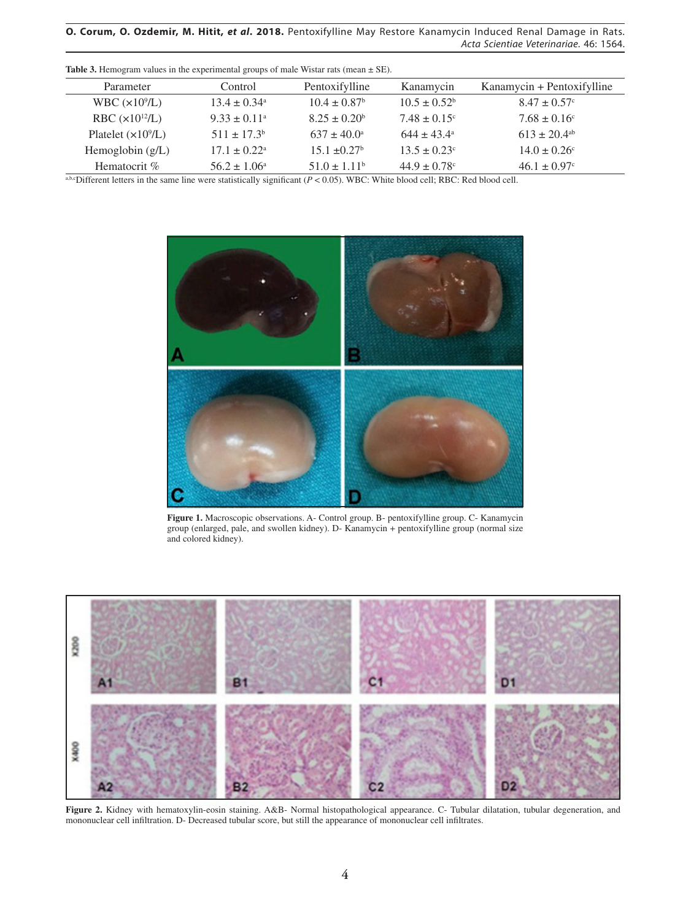**O. Corum, O. Ozdemir, M. Hitit,** *et al***. 2018.** Pentoxifylline May Restore Kanamycin Induced Renal Damage in Rats. *Acta Scientiae Veterinariae*. 46: 1564.

| Parameter           | Control                      | Pentoxifylline          | Kanamycin               | Kanamycin + Pentoxifylline   |
|---------------------|------------------------------|-------------------------|-------------------------|------------------------------|
| WBC $(x10^9/L)$     | $13.4 \pm 0.34$ <sup>a</sup> | $10.4 \pm 0.87^{\circ}$ | $10.5 \pm 0.52^b$       | $8.47 \pm 0.57$ °            |
| RBC $(x10^{12}/L)$  | $9.33 \pm 0.11^{\circ}$      | $8.25 \pm 0.20^b$       | $7.48 \pm 0.15^{\circ}$ | $7.68 \pm 0.16^{\circ}$      |
| Platelet $(x109/L)$ | $511 \pm 17.3^b$             | $637 \pm 40.0^{\circ}$  | $644 + 43.4^{\circ}$    | $613 \pm 20.4$ <sup>ab</sup> |
| Hemoglobin $(g/L)$  | $17.1 \pm 0.22^{\text{a}}$   | $15.1 + 0.27^b$         | $13.5 \pm 0.23^{\circ}$ | $14.0 \pm 0.26$ °            |
| Hematocrit %        | $56.2 \pm 1.06^{\circ}$      | $51.0 \pm 1.11^b$       | $44.9 \pm 0.78$ °       | $46.1 \pm 0.97$ °            |

**Table 3.** Hemogram values in the experimental groups of male Wistar rats (mean  $\pm$  SE).

a,b,cDifferent letters in the same line were statistically significant (*P* < 0.05). WBC: White blood cell; RBC: Red blood cell.



**Figure 1.** Macroscopic observations. A- Control group. B- pentoxifylline group. C- Kanamycin group (enlarged, pale, and swollen kidney). D- Kanamycin + pentoxifylline group (normal size and colored kidney).



**Figure 2.** Kidney with hematoxylin-eosin staining. A&B- Normal histopathological appearance. C- Tubular dilatation, tubular degeneration, and mononuclear cell infiltration. D- Decreased tubular score, but still the appearance of mononuclear cell infiltrates.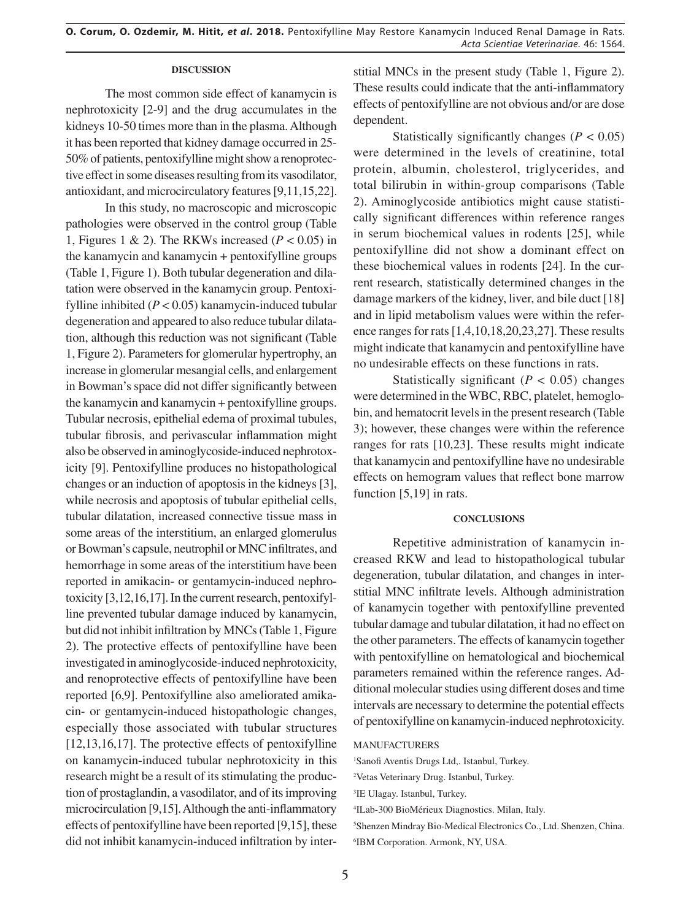#### **DISCUSSION**

The most common side effect of kanamycin is nephrotoxicity [2-9] and the drug accumulates in the kidneys 10-50 times more than in the plasma. Although it has been reported that kidney damage occurred in 25- 50% of patients, pentoxifylline might show a renoprotective effect in some diseases resulting from its vasodilator, antioxidant, and microcirculatory features [9,11,15,22].

In this study, no macroscopic and microscopic pathologies were observed in the control group (Table 1, Figures 1 & 2). The RKWs increased  $(P < 0.05)$  in the kanamycin and kanamycin + pentoxifylline groups (Table 1, Figure 1). Both tubular degeneration and dilatation were observed in the kanamycin group. Pentoxifylline inhibited (*P* < 0.05) kanamycin-induced tubular degeneration and appeared to also reduce tubular dilatation, although this reduction was not significant (Table 1, Figure 2). Parameters for glomerular hypertrophy, an increase in glomerular mesangial cells, and enlargement in Bowman's space did not differ significantly between the kanamycin and kanamycin + pentoxifylline groups. Tubular necrosis, epithelial edema of proximal tubules, tubular fibrosis, and perivascular inflammation might also be observed in aminoglycoside-induced nephrotoxicity [9]. Pentoxifylline produces no histopathological changes or an induction of apoptosis in the kidneys [3], while necrosis and apoptosis of tubular epithelial cells, tubular dilatation, increased connective tissue mass in some areas of the interstitium, an enlarged glomerulus or Bowman's capsule, neutrophil or MNC infiltrates, and hemorrhage in some areas of the interstitium have been reported in amikacin- or gentamycin-induced nephrotoxicity [3,12,16,17]. In the current research, pentoxifylline prevented tubular damage induced by kanamycin, but did not inhibit infiltration by MNCs (Table 1, Figure 2). The protective effects of pentoxifylline have been investigated in aminoglycoside-induced nephrotoxicity, and renoprotective effects of pentoxifylline have been reported [6,9]. Pentoxifylline also ameliorated amikacin- or gentamycin-induced histopathologic changes, especially those associated with tubular structures [12,13,16,17]. The protective effects of pentoxifylline on kanamycin-induced tubular nephrotoxicity in this research might be a result of its stimulating the production of prostaglandin, a vasodilator, and of its improving microcirculation [9,15]. Although the anti-inflammatory effects of pentoxifylline have been reported [9,15], these did not inhibit kanamycin-induced infiltration by interstitial MNCs in the present study (Table 1, Figure 2). These results could indicate that the anti-inflammatory effects of pentoxifylline are not obvious and/or are dose dependent.

Statistically significantly changes  $(P < 0.05)$ were determined in the levels of creatinine, total protein, albumin, cholesterol, triglycerides, and total bilirubin in within-group comparisons (Table 2). Aminoglycoside antibiotics might cause statistically significant differences within reference ranges in serum biochemical values in rodents [25], while pentoxifylline did not show a dominant effect on these biochemical values in rodents [24]. In the current research, statistically determined changes in the damage markers of the kidney, liver, and bile duct [18] and in lipid metabolism values were within the reference ranges for rats [1,4,10,18,20,23,27]. These results might indicate that kanamycin and pentoxifylline have no undesirable effects on these functions in rats.

Statistically significant  $(P < 0.05)$  changes were determined in the WBC, RBC, platelet, hemoglobin, and hematocrit levels in the present research (Table 3); however, these changes were within the reference ranges for rats [10,23]. These results might indicate that kanamycin and pentoxifylline have no undesirable effects on hemogram values that reflect bone marrow function [5,19] in rats.

#### **CONCLUSIONS**

Repetitive administration of kanamycin increased RKW and lead to histopathological tubular degeneration, tubular dilatation, and changes in interstitial MNC infiltrate levels. Although administration of kanamycin together with pentoxifylline prevented tubular damage and tubular dilatation, it had no effect on the other parameters. The effects of kanamycin together with pentoxifylline on hematological and biochemical parameters remained within the reference ranges. Additional molecular studies using different doses and time intervals are necessary to determine the potential effects of pentoxifylline on kanamycin-induced nephrotoxicity.

#### MANUFACTURERS

1 Sanofi Aventis Drugs Ltd,. Istanbul, Turkey.

2 Vetas Veterinary Drug. Istanbul, Turkey.

4 ILab-300 BioMérieux Diagnostics. Milan, Italy.

5 Shenzen Mindray Bio-Medical Electronics Co., Ltd. Shenzen, China. 6 IBM Corporation. Armonk, NY, USA.

<sup>3</sup> IE Ulagay. Istanbul, Turkey.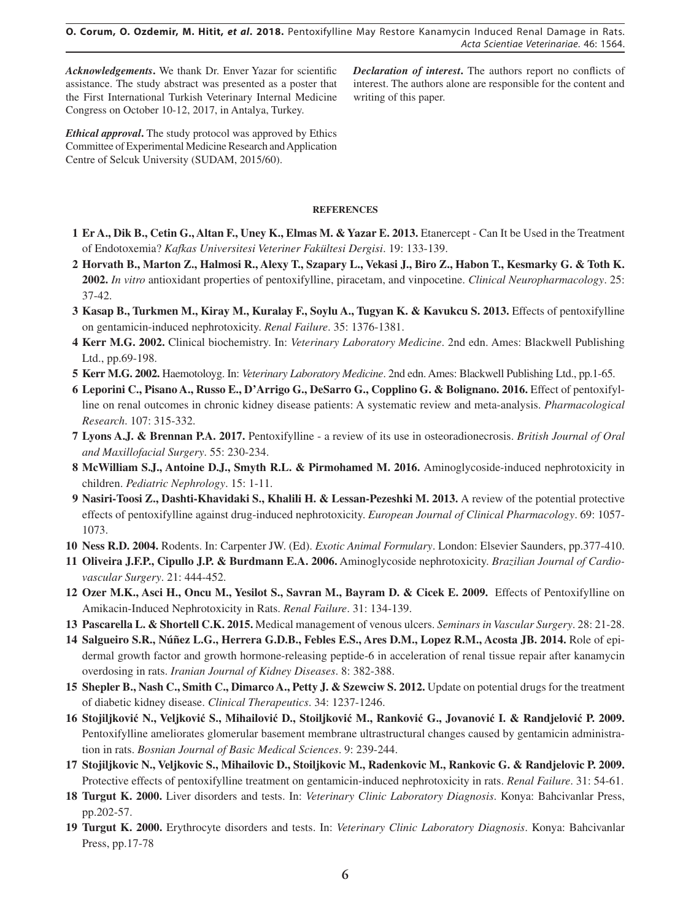*Acknowledgements***.** We thank Dr. Enver Yazar for scientific assistance. The study abstract was presented as a poster that the First International Turkish Veterinary Internal Medicine Congress on October 10-12, 2017, in Antalya, Turkey.

*Declaration of interest***.** The authors report no conflicts of interest. The authors alone are responsible for the content and writing of this paper.

*Ethical approval***.** The study protocol was approved by Ethics Committee of Experimental Medicine Research and Application Centre of Selcuk University (SUDAM, 2015/60).

## **REFERENCES**

- **1 Er A., Dik B., Cetin G., Altan F., Uney K., Elmas M. & Yazar E. 2013.** Etanercept Can It be Used in the Treatment of Endotoxemia? *Kafkas Universitesi Veteriner Fakültesi Dergisi*. 19: 133-139.
- **2 Horvath B., Marton Z., Halmosi R., Alexy T., Szapary L., Vekasi J., Biro Z., Habon T., Kesmarky G. & Toth K. 2002.** *In vitro* antioxidant properties of pentoxifylline, piracetam, and vinpocetine. *Clinical Neuropharmacology*. 25: 37-42.
- **3 Kasap B., Turkmen M., Kiray M., Kuralay F., Soylu A., Tugyan K. & Kavukcu S. 2013.** Effects of pentoxifylline on gentamicin-induced nephrotoxicity. *Renal Failure*. 35: 1376-1381.
- **4 Kerr M.G. 2002.** Clinical biochemistry. In: *Veterinary Laboratory Medicine*. 2nd edn. Ames: Blackwell Publishing Ltd., pp.69-198.
- **5 Kerr M.G. 2002.** Haemotoloyg. In: *Veterinary Laboratory Medicine*. 2nd edn. Ames: Blackwell Publishing Ltd., pp.1-65.
- **6 Leporini C., Pisano A., Russo E., D'Arrigo G., DeSarro G., Copplino G. & Bolignano. 2016.** Effect of pentoxifylline on renal outcomes in chronic kidney disease patients: A systematic review and meta-analysis. *Pharmacological Research*. 107: 315-332.
- **7 Lyons A.J. & Brennan P.A. 2017.** Pentoxifylline a review of its use in osteoradionecrosis. *British Journal of Oral and Maxillofacial Surgery*. 55: 230-234.
- **8 McWilliam S.J., Antoine D.J., Smyth R.L. & Pirmohamed M. 2016.** Aminoglycoside-induced nephrotoxicity in children. *Pediatric Nephrology*. 15: 1-11.
- **9 Nasiri-Toosi Z., Dashti-Khavidaki S., Khalili H. & Lessan-Pezeshki M. 2013.** A review of the potential protective effects of pentoxifylline against drug-induced nephrotoxicity. *European Journal of Clinical Pharmacology*. 69: 1057- 1073.
- **10 Ness R.D. 2004.** Rodents. In: Carpenter JW. (Ed). *Exotic Animal Formulary*. London: Elsevier Saunders, pp.377-410.
- **11 Oliveira J.F.P., Cipullo J.P. & Burdmann E.A. 2006.** Aminoglycoside nephrotoxicity. *Brazilian Journal of Cardiovascular Surgery*. 21: 444-452.
- **12 Ozer M.K., Asci H., Oncu M., Yesilot S., Savran M., Bayram D. & Cicek E. 2009.** Effects of Pentoxifylline on Amikacin-Induced Nephrotoxicity in Rats. *Renal Failure*. 31: 134-139.
- **13 Pascarella L. & Shortell C.K. 2015.** Medical management of venous ulcers. *Seminars in Vascular Surgery*. 28: 21-28.
- **14 Salgueiro S.R., Núñez L.G., Herrera G.D.B., Febles E.S., Ares D.M., Lopez R.M., Acosta JB. 2014.** Role of epidermal growth factor and growth hormone-releasing peptide-6 in acceleration of renal tissue repair after kanamycin overdosing in rats. *Iranian Journal of Kidney Diseases*. 8: 382-388.
- **15 Shepler B., Nash C., Smith C., Dimarco A., Petty J. & Szewciw S. 2012.** Update on potential drugs for the treatment of diabetic kidney disease. *Clinical Therapeutics*. 34: 1237-1246.
- 16 Stojiljković N., Veljković S., Mihailović D., Stoiljković M., Ranković G., Jovanović I. & Randjelović P. 2009. Pentoxifylline ameliorates glomerular basement membrane ultrastructural changes caused by gentamicin administration in rats. *Bosnian Journal of Basic Medical Sciences*. 9: 239-244.
- **17 Stojiljkovic N., Veljkovic S., Mihailovic D., Stoiljkovic M., Radenkovic M., Rankovic G. & Randjelovic P. 2009.** Protective effects of pentoxifylline treatment on gentamicin-induced nephrotoxicity in rats. *Renal Failure*. 31: 54-61.
- **18 Turgut K. 2000.** Liver disorders and tests. In: *Veterinary Clinic Laboratory Diagnosis*. Konya: Bahcivanlar Press, pp.202-57.
- **19 Turgut K. 2000.** Erythrocyte disorders and tests. In: *Veterinary Clinic Laboratory Diagnosis*. Konya: Bahcivanlar Press, pp.17-78